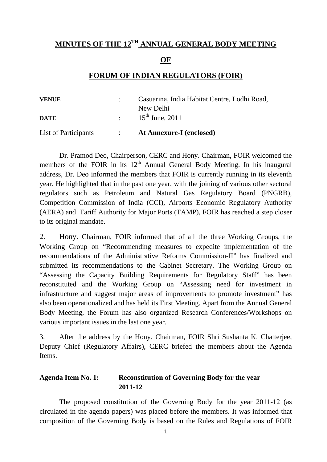## MINUTES OF THE 12<sup>TH</sup> ANNUAL GENERAL BODY MEETING

**OF**

#### **FORUM OF INDIAN REGULATORS (FOIR)**

| <b>VENUE</b>         | Casuarina, India Habitat Centre, Lodhi Road, |
|----------------------|----------------------------------------------|
|                      | New Delhi                                    |
| <b>DATE</b>          | $15^{th}$ June, 2011                         |
| List of Participants | <b>At Annexure-I (enclosed)</b>              |

 Dr. Pramod Deo, Chairperson, CERC and Hony. Chairman, FOIR welcomed the members of the FOIR in its  $12<sup>th</sup>$  Annual General Body Meeting. In his inaugural address, Dr. Deo informed the members that FOIR is currently running in its eleventh year. He highlighted that in the past one year, with the joining of various other sectoral regulators such as Petroleum and Natural Gas Regulatory Board (PNGRB), Competition Commission of India (CCI), Airports Economic Regulatory Authority (AERA) and Tariff Authority for Major Ports (TAMP), FOIR has reached a step closer to its original mandate.

2. Hony. Chairman, FOIR informed that of all the three Working Groups, the Working Group on "Recommending measures to expedite implementation of the recommendations of the Administrative Reforms Commission-II" has finalized and submitted its recommendations to the Cabinet Secretary. The Working Group on "Assessing the Capacity Building Requirements for Regulatory Staff" has been reconstituted and the Working Group on "Assessing need for investment in infrastructure and suggest major areas of improvements to promote investment" has also been operationalized and has held its First Meeting. Apart from the Annual General Body Meeting, the Forum has also organized Research Conferences/Workshops on various important issues in the last one year.

3. After the address by the Hony. Chairman, FOIR Shri Sushanta K. Chatterjee, Deputy Chief (Regulatory Affairs), CERC briefed the members about the Agenda Items.

## **Agenda Item No. 1: Reconstitution of Governing Body for the year 2011-12**

 The proposed constitution of the Governing Body for the year 2011-12 (as circulated in the agenda papers) was placed before the members. It was informed that composition of the Governing Body is based on the Rules and Regulations of FOIR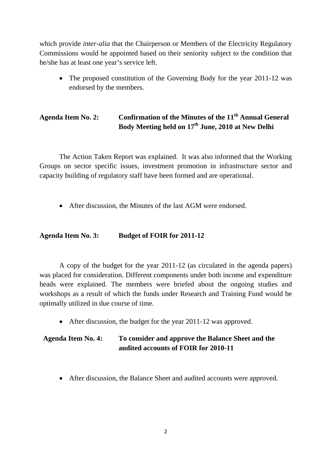which provide *inter-alia* that the Chairperson or Members of the Electricity Regulatory Commissions would be appointed based on their seniority subject to the condition that he/she has at least one year's service left.

The proposed constitution of the Governing Body for the year 2011-12 was endorsed by the members.

# **Agenda Item No. 2: Confirmation of the Minutes of the 11th Annual General Body Meeting held on 17th June, 2010 at New Delhi**

 The Action Taken Report was explained. It was also informed that the Working Groups on sector specific issues, investment promotion in infrastructure sector and capacity building of regulatory staff have been formed and are operational.

• After discussion, the Minutes of the last AGM were endorsed.

#### **Agenda Item No. 3: Budget of FOIR for 2011-12**

 A copy of the budget for the year 2011-12 (as circulated in the agenda papers) was placed for consideration. Different components under both income and expenditure heads were explained. The members were briefed about the ongoing studies and workshops as a result of which the funds under Research and Training Fund would be optimally utilized in due course of time.

• After discussion, the budget for the year 2011-12 was approved.

# **Agenda Item No. 4: To consider and approve the Balance Sheet and the audited accounts of FOIR for 2010-11**

• After discussion, the Balance Sheet and audited accounts were approved.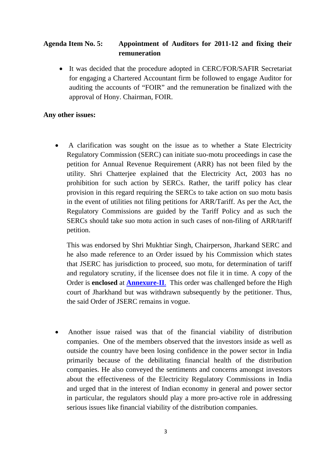## **Agenda Item No. 5: Appointment of Auditors for 2011-12 and fixing their remuneration**

• It was decided that the procedure adopted in CERC/FOR/SAFIR Secretariat for engaging a Chartered Accountant firm be followed to engage Auditor for auditing the accounts of "FOIR" and the remuneration be finalized with the approval of Hony. Chairman, FOIR.

#### **Any other issues:**

• A clarification was sought on the issue as to whether a State Electricity Regulatory Commission (SERC) can initiate suo-motu proceedings in case the petition for Annual Revenue Requirement (ARR) has not been filed by the utility. Shri Chatterjee explained that the Electricity Act, 2003 has no prohibition for such action by SERCs. Rather, the tariff policy has clear provision in this regard requiring the SERCs to take action on suo motu basis in the event of utilities not filing petitions for ARR/Tariff. As per the Act, the Regulatory Commissions are guided by the Tariff Policy and as such the SERCs should take suo motu action in such cases of non-filing of ARR/tariff petition.

This was endorsed by Shri Mukhtiar Singh, Chairperson, Jharkand SERC and he also made reference to an Order issued by his Commission which states that JSERC has jurisdiction to proceed, suo motu, for determination of tariff and regulatory scrutiny, if the licensee does not file it in time. A copy of the Order is **enclosed** at **[Annexure-II](http://foir-india.org/upload/annexure_ii.pdf)**. This order was challenged before the High court of Jharkhand but was withdrawn subsequently by the petitioner. Thus, the said Order of JSERC remains in vogue.

• Another issue raised was that of the financial viability of distribution companies. One of the members observed that the investors inside as well as outside the country have been losing confidence in the power sector in India primarily because of the debilitating financial health of the distribution companies. He also conveyed the sentiments and concerns amongst investors about the effectiveness of the Electricity Regulatory Commissions in India and urged that in the interest of Indian economy in general and power sector in particular, the regulators should play a more pro-active role in addressing serious issues like financial viability of the distribution companies.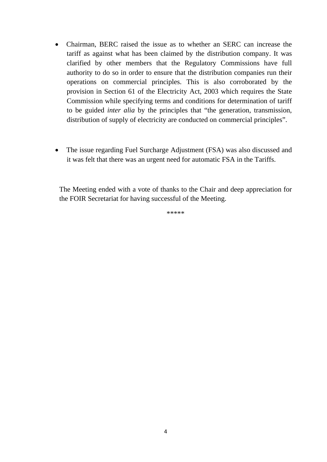- Chairman, BERC raised the issue as to whether an SERC can increase the tariff as against what has been claimed by the distribution company. It was clarified by other members that the Regulatory Commissions have full authority to do so in order to ensure that the distribution companies run their operations on commercial principles. This is also corroborated by the provision in Section 61 of the Electricity Act, 2003 which requires the State Commission while specifying terms and conditions for determination of tariff to be guided *inter alia* by the principles that "the generation, transmission, distribution of supply of electricity are conducted on commercial principles".
- The issue regarding Fuel Surcharge Adjustment (FSA) was also discussed and it was felt that there was an urgent need for automatic FSA in the Tariffs.

The Meeting ended with a vote of thanks to the Chair and deep appreciation for the FOIR Secretariat for having successful of the Meeting.

\*\*\*\*\*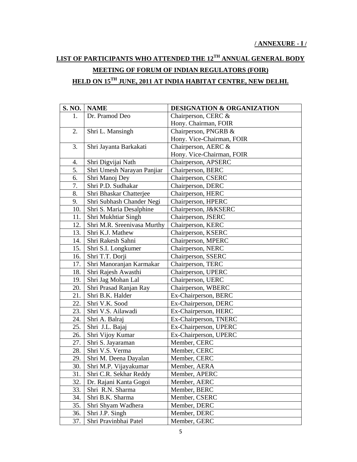# **LIST OF PARTICIPANTS WHO ATTENDED THE 12TH ANNUAL GENERAL BODY MEETING OF FORUM OF INDIAN REGULATORS (FOIR) HELD ON 15TH JUNE, 2011 AT INDIA HABITAT CENTRE, NEW DELHI.**

| S. NO. | <b>NAME</b>                 | <b>DESIGNATION &amp; ORGANIZATION</b> |
|--------|-----------------------------|---------------------------------------|
| 1.     | Dr. Pramod Deo              | Chairperson, CERC &                   |
|        |                             | Hony. Chairman, FOIR                  |
| 2.     | Shri L. Mansingh            | Chairperson, PNGRB &                  |
|        |                             | Hony. Vice-Chairman, FOIR             |
| 3.     | Shri Jayanta Barkakati      | Chairperson, AERC &                   |
|        |                             | Hony. Vice-Chairman, FOIR             |
| 4.     | Shri Digvijai Nath          | Chairperson, APSERC                   |
| 5.     | Shri Umesh Narayan Panjiar  | Chairperson, BERC                     |
| 6.     | Shri Manoj Dey              | Chairperson, CSERC                    |
| 7.     | Shri P.D. Sudhakar          | Chairperson, DERC                     |
| 8.     | Shri Bhaskar Chatterjee     | Chairperson, HERC                     |
| 9.     | Shri Subhash Chander Negi   | Chairperson, HPERC                    |
| 10.    | Shri S. Maria Desalphine    | Chairperson, J&KSERC                  |
| 11.    | Shri Mukhtiar Singh         | Chairperson, JSERC                    |
| 12.    | Shri M.R. Sreenivasa Murthy | Chairperson, KERC                     |
| 13.    | Shri K.J. Mathew            | Chairperson, KSERC                    |
| 14.    | Shri Rakesh Sahni           | Chairperson, MPERC                    |
| 15.    | Shri S.I. Longkumer         | Chairperson, NERC                     |
| 16.    | Shri T.T. Dorji             | Chairperson, SSERC                    |
| 17.    | Shri Manoranjan Karmakar    | Chairperson, TERC                     |
| 18.    | Shri Rajesh Awasthi         | Chairperson, UPERC                    |
| 19.    | Shri Jag Mohan Lal          | Chairperson, UERC                     |
| 20.    | Shri Prasad Ranjan Ray      | Chairperson, WBERC                    |
| 21.    | Shri B.K. Halder            | Ex-Chairperson, BERC                  |
| 22.    | Shri V.K. Sood              | Ex-Chairperson, DERC                  |
| 23.    | Shri V.S. Ailawadi          | Ex-Chairperson, HERC                  |
| 24.    | Shri A. Balraj              | Ex-Chairperson, TNERC                 |
| 25.    | Shri J.L. Bajaj             | Ex-Chairperson, UPERC                 |
| 26.    | Shri Vijoy Kumar            | Ex-Chairperson, UPERC                 |
| 27.    | Shri S. Jayaraman           | Member, CERC                          |
| 28.    | Shri V.S. Verma             | Member, CERC                          |
| 29.    | Shri M. Deena Dayalan       | Member, CERC                          |
| 30.    | Shri M.P. Vijayakumar       | Member, AERA                          |
| 31.    | Shri C.R. Sekhar Reddy      | Member, APERC                         |
| 32.    | Dr. Rajani Kanta Gogoi      | Member, AERC                          |
| 33.    | Shri R.N. Sharma            | Member, BERC                          |
| 34.    | Shri B.K. Sharma            | Member, CSERC                         |
| 35.    | Shri Shyam Wadhera          | Member, DERC                          |
| 36.    | Shri J.P. Singh             | Member, DERC                          |
| 37.    | Shri Pravinbhai Patel       | Member, GERC                          |